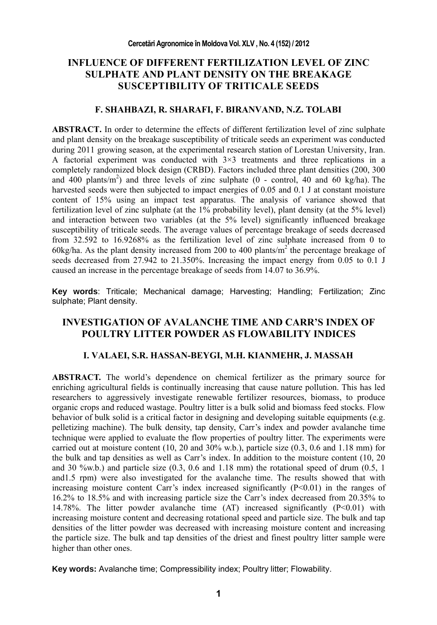# **INFLUENCE OF DIFFERENT FERTILIZATION LEVEL OF ZINC SULPHATE AND PLANT DENSITY ON THE BREAKAGE SUSCEPTIBILITY OF TRITICALE SEEDS**

#### **F. SHAHBAZI, R. SHARAFI, F. BIRANVAND, N.Z. TOLABI**

**ABSTRACT.** In order to determine the effects of different fertilization level of zinc sulphate and plant density on the breakage susceptibility of triticale seeds an experiment was conducted during 2011 growing season, at the experimental research station of Lorestan University, Iran. A factorial experiment was conducted with 3×3 treatments and three replications in a completely randomized block design (CRBD). Factors included three plant densities (200, 300 and  $400$  plants/m<sup>2</sup>) and three levels of zinc sulphate (0 - control, 40 and 60 kg/ha). The harvested seeds were then subjected to impact energies of 0.05 and 0.1 J at constant moisture content of 15% using an impact test apparatus. The analysis of variance showed that fertilization level of zinc sulphate (at the 1% probability level), plant density (at the 5% level) and interaction between two variables (at the 5% level) significantly influenced breakage susceptibility of triticale seeds. The average values of percentage breakage of seeds decreased from 32.592 to 16.9268% as the fertilization level of zinc sulphate increased from 0 to 60kg/ha. As the plant density increased from 200 to 400 plants/ $m^2$  the percentage breakage of seeds decreased from 27.942 to 21.350%. Increasing the impact energy from 0.05 to 0.1 J caused an increase in the percentage breakage of seeds from 14.07 to 36.9%.

**Key words**: Triticale; Mechanical damage; Harvesting; Handling; Fertilization; Zinc sulphate; Plant density.

# **INVESTIGATION OF AVALANCHE TIME AND CARR'S INDEX OF POULTRY LITTER POWDER AS FLOWABILITY INDICES**

#### **I. VALAEI, S.R. HASSAN-BEYGI, M.H. KIANMEHR, J. MASSAH**

**ABSTRACT.** The world's dependence on chemical fertilizer as the primary source for enriching agricultural fields is continually increasing that cause nature pollution. This has led researchers to aggressively investigate renewable fertilizer resources, biomass, to produce organic crops and reduced wastage. Poultry litter is a bulk solid and biomass feed stocks. Flow behavior of bulk solid is a critical factor in designing and developing suitable equipments (e.g. pelletizing machine). The bulk density, tap density, Carr's index and powder avalanche time technique were applied to evaluate the flow properties of poultry litter. The experiments were carried out at moisture content (10, 20 and 30% w.b.), particle size (0.3, 0.6 and 1.18 mm) for the bulk and tap densities as well as Carr's index. In addition to the moisture content (10, 20 and 30 %w.b.) and particle size  $(0.3, 0.6$  and  $1.18$  mm) the rotational speed of drum  $(0.5, 1)$ and1.5 rpm) were also investigated for the avalanche time. The results showed that with increasing moisture content Carr's index increased significantly (P<0.01) in the ranges of 16.2% to 18.5% and with increasing particle size the Carr's index decreased from 20.35% to 14.78%. The litter powder avalanche time  $(AT)$  increased significantly  $(P<0.01)$  with increasing moisture content and decreasing rotational speed and particle size. The bulk and tap densities of the litter powder was decreased with increasing moisture content and increasing the particle size. The bulk and tap densities of the driest and finest poultry litter sample were higher than other ones.

**Key words:** Avalanche time; Compressibility index; Poultry litter; Flowability.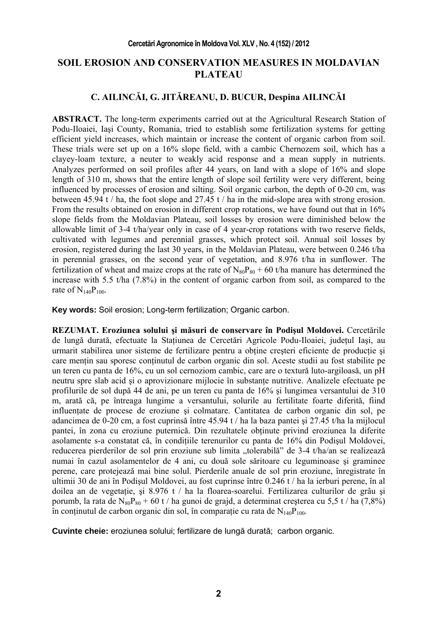## **SOIL EROSION AND CONSERVATION MEASURES IN MOLDAVIAN PLATEAU**

# **C. AILINCĂI, G. JITĂREANU, D. BUCUR, Despina AILINCĂI**

**ABSTRACT.** The long-term experiments carried out at the Agricultural Research Station of Podu-Iloaiei, Iaşi County, Romania, tried to establish some fertilization systems for getting efficient yield increases, which maintain or increase the content of organic carbon from soil. These trials were set up on a 16% slope field, with a cambic Chernozem soil, which has a clayey-loam texture, a neuter to weakly acid response and a mean supply in nutrients. Analyzes performed on soil profiles after 44 years, on land with a slope of 16% and slope length of 310 m, shows that the entire length of slope soil fertility were very different, being influenced by processes of erosion and silting. Soil organic carbon, the depth of 0-20 cm, was between 45.94 t / ha, the foot slope and 27.45 t / ha in the mid-slope area with strong erosion. From the results obtained on erosion in different crop rotations, we have found out that in 16% slope fields from the Moldavian Plateau, soil losses by erosion were diminished below the allowable limit of 3-4 t/ha/year only in case of 4 year-crop rotations with two reserve fields, cultivated with legumes and perennial grasses, which protect soil. Annual soil losses by erosion, registered during the last 30 years, in the Moldavian Plateau, were between 0.246 t/ha in perennial grasses, on the second year of vegetation, and 8.976 t/ha in sunflower. The fertilization of wheat and maize crops at the rate of  $N_{80}P_{80} + 60$  t/ha manure has determined the increase with 5.5 t/ha (7.8%) in the content of organic carbon from soil, as compared to the rate of  $N_{140}P_{100}$ .

**Key words:** Soil erosion; Long-term fertilization; Organic carbon.

**REZUMAT. Eroziunea solului şi măsuri de conservare în Podişul Moldovei.** Cercetările de lungă durată, efectuate la Stațiunea de Cercetări Agricole Podu-Iloaiei, județul Iași, au urmarit stabilirea unor sisteme de fertilizare pentru a obține creșteri eficiente de producție și care mențin sau sporesc conținutul de carbon organic din sol. Aceste studii au fost stabilite pe un teren cu panta de 16%, cu un sol cernoziom cambic, care are o textură luto-argiloasă, un pH neutru spre slab acid si o aprovizionare mijlocie în substante nutritive. Analizele efectuate pe profilurile de sol după 44 de ani, pe un teren cu panta de 16% şi lungimea versantului de 310 m, arată că, pe întreaga lungime a versantului, solurile au fertilitate foarte diferită, fiind influentate de procese de eroziune și colmatare. Cantitatea de carbon organic din sol, pe adancimea de 0-20 cm, a fost cuprinsă între 45.94 t / ha la baza pantei şi 27.45 t/ha la mijlocul pantei, în zona cu eroziune puternică. Din rezultatele obtinute privind eroziunea la diferite asolamente s-a constatat că, în condiţiile terenurilor cu panta de 16% din Podişul Moldovei, reducerea pierderilor de sol prin eroziune sub limita "tolerabilă" de 3-4 t/ha/an se realizează numai în cazul asolamentelor de 4 ani, cu două sole săritoare cu leguminoase şi graminee perene, care protejează mai bine solul. Pierderile anuale de sol prin eroziune, înregistrate în ultimii 30 de ani în Podişul Moldovei, au fost cuprinse între 0.246 t / ha la ierburi perene, în al doilea an de vegetație, și  $8.976$  t / ha la floarea-soarelui. Fertilizarea culturilor de grâu și porumb, la rata de N<sub>80</sub>P<sub>80</sub> + 60 t / ha gunoi de grajd, a determinat creșterea cu 5,5 t / ha (7,8%) în conținutul de carbon organic din sol, în comparație cu rata de  $N_{140}P_{100}$ .

**Cuvinte cheie:** eroziunea solului; fertilizare de lungă durată; carbon organic.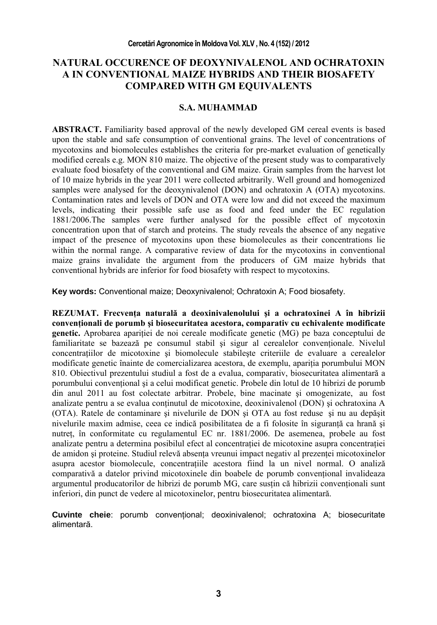# **NATURAL OCCURENCE OF DEOXYNIVALENOL AND OCHRATOXIN A IN CONVENTIONAL MAIZE HYBRIDS AND THEIR BIOSAFETY COMPARED WITH GM EQUIVALENTS**

#### **S.A. MUHAMMAD**

**ABSTRACT.** Familiarity based approval of the newly developed GM cereal events is based upon the stable and safe consumption of conventional grains. The level of concentrations of mycotoxins and biomolecules establishes the criteria for pre-market evaluation of genetically modified cereals e.g. MON 810 maize. The objective of the present study was to comparatively evaluate food biosafety of the conventional and GM maize. Grain samples from the harvest lot of 10 maize hybrids in the year 2011 were collected arbitrarily. Well ground and homogenized samples were analysed for the deoxynivalenol (DON) and ochratoxin A (OTA) mycotoxins. Contamination rates and levels of DON and OTA were low and did not exceed the maximum levels, indicating their possible safe use as food and feed under the EC regulation 1881/2006.The samples were further analysed for the possible effect of mycotoxin concentration upon that of starch and proteins. The study reveals the absence of any negative impact of the presence of mycotoxins upon these biomolecules as their concentrations lie within the normal range. A comparative review of data for the mycotoxins in conventional maize grains invalidate the argument from the producers of GM maize hybrids that conventional hybrids are inferior for food biosafety with respect to mycotoxins.

**Key words:** Conventional maize; Deoxynivalenol; Ochratoxin A; Food biosafety.

**REZUMAT. Frecvenţa naturală a deoxinivalenolului şi a ochratoxinei A în hibrizii convenţionali de porumb şi biosecuritatea acestora, comparativ cu echivalente modificate genetic.** Aprobarea apariţiei de noi cereale modificate genetic (MG) pe baza conceptului de familiaritate se bazează pe consumul stabil și sigur al cerealelor conventionale. Nivelul concentratiilor de micotoxine si biomolecule stabileste criteriile de evaluare a cerealelor modificate genetic înainte de comercializarea acestora, de exemplu, apariția porumbului MON 810. Obiectivul prezentului studiul a fost de a evalua, comparativ, biosecuritatea alimentară a porumbului conventional și a celui modificat genetic. Probele din lotul de 10 hibrizi de porumb din anul 2011 au fost colectate arbitrar. Probele, bine macinate şi omogenizate, au fost analizate pentru a se evalua conţinutul de micotoxine, deoxinivalenol (DON) şi ochratoxina A (OTA). Ratele de contaminare şi nivelurile de DON şi OTA au fost reduse şi nu au depăşit nivelurile maxim admise, ceea ce indică posibilitatea de a fi folosite în siguranță ca hrană și nutreţ, în conformitate cu regulamentul EC nr. 1881/2006. De asemenea, probele au fost analizate pentru a determina posibilul efect al concentratiei de micotoxine asupra concentratiei de amidon si proteine. Studiul relevă absenta vreunui impact negativ al prezentei micotoxinelor asupra acestor biomolecule, concentrațiile acestora fiind la un nivel normal. O analiză comparativă a datelor privind micotoxinele din boabele de porumb conventional invalideaza argumentul producatorilor de hibrizi de porumb MG, care susțin că hibrizii convenționali sunt inferiori, din punct de vedere al micotoxinelor, pentru biosecuritatea alimentară.

**Cuvinte cheie**: porumb conventional; deoxinivalenol; ochratoxina A; biosecuritate alimentară.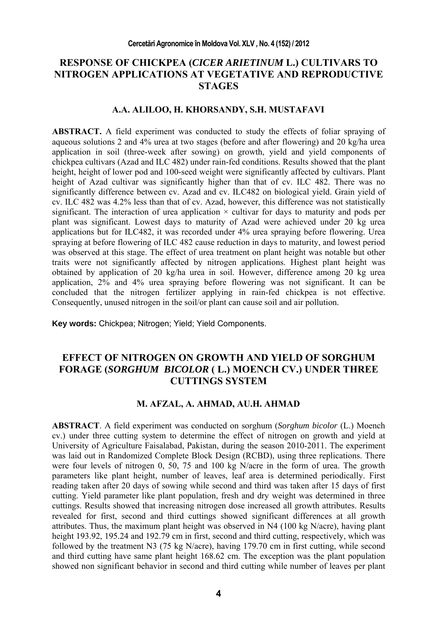## **RESPONSE OF CHICKPEA (***CICER ARIETINUM* **L.) CULTIVARS TO NITROGEN APPLICATIONS AT VEGETATIVE AND REPRODUCTIVE STAGES**

#### **A.A. ALILOO, H. KHORSANDY, S.H. MUSTAFAVI**

**ABSTRACT.** A field experiment was conducted to study the effects of foliar spraying of aqueous solutions 2 and 4% urea at two stages (before and after flowering) and 20 kg/ha urea application in soil (three-week after sowing) on growth, yield and yield components of chickpea cultivars (Azad and ILC 482) under rain-fed conditions. Results showed that the plant height, height of lower pod and 100-seed weight were significantly affected by cultivars. Plant height of Azad cultivar was significantly higher than that of cv. ILC 482. There was no significantly difference between cv. Azad and cv. ILC482 on biological yield. Grain yield of cv. ILC 482 was 4.2% less than that of cv. Azad, however, this difference was not statistically significant. The interaction of urea application  $\times$  cultivar for days to maturity and pods per plant was significant. Lowest days to maturity of Azad were achieved under 20 kg urea applications but for ILC482, it was recorded under 4% urea spraying before flowering. Urea spraying at before flowering of ILC 482 cause reduction in days to maturity, and lowest period was observed at this stage. The effect of urea treatment on plant height was notable but other traits were not significantly affected by nitrogen applications. Highest plant height was obtained by application of 20 kg/ha urea in soil. However, difference among 20 kg urea application, 2% and 4% urea spraying before flowering was not significant. It can be concluded that the nitrogen fertilizer applying in rain-fed chickpea is not effective. Consequently, unused nitrogen in the soil/or plant can cause soil and air pollution.

**Key words:** Chickpea; Nitrogen; Yield; Yield Components.

# **EFFECT OF NITROGEN ON GROWTH AND YIELD OF SORGHUM FORAGE (***SORGHUM BICOLOR* **( L.) MOENCH CV.) UNDER THREE CUTTINGS SYSTEM**

#### **M. AFZAL, A. AHMAD, AU.H. AHMAD**

**ABSTRACT**. A field experiment was conducted on sorghum (*Sorghum bicolor* (L.) Moench cv.) under three cutting system to determine the effect of nitrogen on growth and yield at University of Agriculture Faisalabad, Pakistan, during the season 2010-2011. The experiment was laid out in Randomized Complete Block Design (RCBD), using three replications. There were four levels of nitrogen 0, 50, 75 and 100 kg N/acre in the form of urea. The growth parameters like plant height, number of leaves, leaf area is determined periodically. First reading taken after 20 days of sowing while second and third was taken after 15 days of first cutting. Yield parameter like plant population, fresh and dry weight was determined in three cuttings. Results showed that increasing nitrogen dose increased all growth attributes. Results revealed for first, second and third cuttings showed significant differences at all growth attributes. Thus, the maximum plant height was observed in N4 (100 kg N/acre), having plant height 193.92, 195.24 and 192.79 cm in first, second and third cutting, respectively, which was followed by the treatment N3 (75 kg N/acre), having 179.70 cm in first cutting, while second and third cutting have same plant height 168.62 cm. The exception was the plant population showed non significant behavior in second and third cutting while number of leaves per plant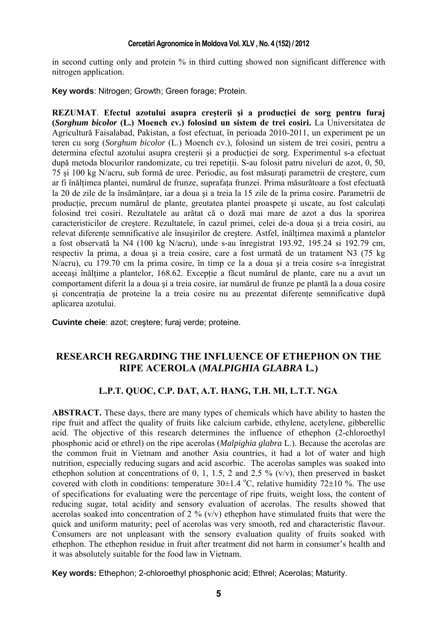in second cutting only and protein % in third cutting showed non significant difference with nitrogen application.

**Key words**: Nitrogen; Growth; Green forage; Protein.

**REZUMAT**. **Efectul azotului asupra creşterii şi a producţiei de sorg pentru furaj (***Sorghum bicolor* **(L.) Moench cv.) folosind un sistem de trei cosiri.** La Universitatea de Agricultură Faisalabad, Pakistan, a fost efectuat, în perioada 2010-2011, un experiment pe un teren cu sorg (*Sorghum bicolor* (L.) Moench cv.), folosind un sistem de trei cosiri, pentru a determina efectul azotului asupra creşterii şi a producţiei de sorg. Experimentul s-a efectuat după metoda blocurilor randomizate, cu trei repetiții. S-au folosit patru niveluri de azot, 0, 50, 75 şi 100 kg N/acru, sub formă de uree. Periodic, au fost măsuraţi parametrii de creştere, cum ar fi înăltimea plantei, numărul de frunze, suprafața frunzei. Prima măsurătoare a fost efectuată la 20 de zile de la însămănțare, iar a doua și a treia la 15 zile de la prima cosire. Parametrii de producție, precum numărul de plante, greutatea plantei proaspete și uscate, au fost calculați folosind trei cosiri. Rezultatele au arătat că o doză mai mare de azot a dus la sporirea caracteristicilor de creştere. Rezultatele, în cazul primei, celei de-a doua şi a treia cosiri, au relevat diferente semnificative ale însusirilor de crestere. Astfel, înăltimea maximă a plantelor a fost observată la N4 (100 kg N/acru), unde s-au înregistrat 193.92, 195.24 si 192.79 cm, respectiv la prima, a doua şi a treia cosire, care a fost urmată de un tratament N3 (75 kg N/acru), cu 179.70 cm la prima cosire, în timp ce la a doua şi a treia cosire s-a înregistrat aceeași înălțime a plantelor, 168.62. Excepție a făcut numărul de plante, care nu a avut un comportament diferit la a doua şi a treia cosire, iar numărul de frunze pe plantă la a doua cosire si concentratia de proteine la a treia cosire nu au prezentat diferente semnificative după aplicarea azotului.

**Cuvinte cheie**: azot; creştere; furaj verde; proteine.

# **RESEARCH REGARDING THE INFLUENCE OF ETHEPHON ON THE RIPE ACEROLA (***MALPIGHIA GLABRA* **L***.***)**

#### **L.P.T. QUOC, C.P. DAT, A.T. HANG, T.H. MI, L.T.T. NGA**

**ABSTRACT.** These days, there are many types of chemicals which have ability to hasten the ripe fruit and affect the quality of fruits like calcium carbide, ethylene, acetylene, gibberellic acid. The objective of this research determines the influence of ethephon (2-chloroethyl phosphonic acid or ethrel) on the ripe acerolas (*Malpighia glabra* L.). Because the acerolas are the common fruit in Vietnam and another Asia countries, it had a lot of water and high nutrition, especially reducing sugars and acid ascorbic. The acerolas samples was soaked into ethephon solution at concentrations of 0, 1, 1.5, 2 and 2.5 % (v/v), then preserved in basket covered with cloth in conditions: temperature  $30\pm1.4$  °C, relative humidity 72 $\pm10$  %. The use of specifications for evaluating were the percentage of ripe fruits, weight loss, the content of reducing sugar, total acidity and sensory evaluation of acerolas. The results showed that acerolas soaked into concentration of 2 %  $(v/v)$  ethephon have stimulated fruits that were the quick and uniform maturity; peel of acerolas was very smooth, red and characteristic flavour. Consumers are not unpleasant with the sensory evaluation quality of fruits soaked with ethephon. The ethephon residue in fruit after treatment did not harm in consumer's health and it was absolutely suitable for the food law in Vietnam.

**Key words:** Ethephon; 2-chloroethyl phosphonic acid; Ethrel; Acerolas; Maturity.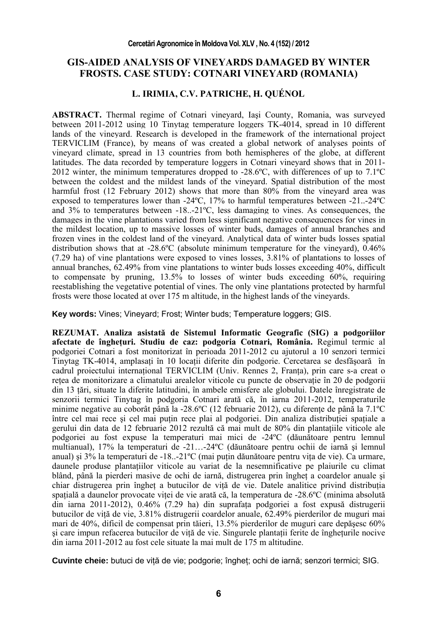### **GIS-AIDED ANALYSIS OF VINEYARDS DAMAGED BY WINTER FROSTS. CASE STUDY: COTNARI VINEYARD (ROMANIA)**

### **L. IRIMIA, C.V. PATRICHE, H. QUÉNOL**

**ABSTRACT.** Thermal regime of Cotnari vineyard, Iaşi County, Romania, was surveyed between 2011-2012 using 10 Tinytag temperature loggers TK-4014, spread in 10 different lands of the vineyard. Research is developed in the framework of the international project TERVICLIM (France), by means of was created a global network of analyses points of vineyard climate, spread in 13 countries from both hemispheres of the globe, at different latitudes. The data recorded by temperature loggers in Cotnari vineyard shows that in 2011- 2012 winter, the minimum temperatures dropped to -28.6ºC, with differences of up to 7.1ºC between the coldest and the mildest lands of the vineyard. Spatial distribution of the most harmful frost (12 February 2012) shows that more than 80% from the vineyard area was exposed to temperatures lower than -24ºC, 17% to harmful temperatures between -21..-24ºC and 3% to temperatures between -18..-21ºC, less damaging to vines. As consequences, the damages in the vine plantations varied from less significant negative consequences for vines in the mildest location, up to massive losses of winter buds, damages of annual branches and frozen vines in the coldest land of the vineyard. Analytical data of winter buds losses spatial distribution shows that at -28.6ºC (absolute minimum temperature for the vineyard), 0.46% (7.29 ha) of vine plantations were exposed to vines losses, 3.81% of plantations to losses of annual branches, 62.49% from vine plantations to winter buds losses exceeding 40%, difficult to compensate by pruning, 13.5% to losses of winter buds exceeding 60%, requiring reestablishing the vegetative potential of vines. The only vine plantations protected by harmful frosts were those located at over 175 m altitude, in the highest lands of the vineyards.

**Key words:** Vines; Vineyard; Frost; Winter buds; Temperature loggers; GIS.

**REZUMAT. Analiza asistată de Sistemul Informatic Geografic (SIG) a podgoriilor afectate de îngheţuri. Studiu de caz: podgoria Cotnari, România.** Regimul termic al podgoriei Cotnari a fost monitorizat în perioada 2011-2012 cu ajutorul a 10 senzori termici Tinytag TK-4014, amplasati în 10 locații diferite din podgorie. Cercetarea se desfăsoară în cadrul proiectului international TERVICLIM (Univ. Rennes 2, Franța), prin care s-a creat o rețea de monitorizare a climatului arealelor viticole cu puncte de observație în 20 de podgorii din 13 ţări, situate la diferite latitudini, în ambele emisfere ale globului. Datele înregistrate de senzorii termici Tinytag în podgoria Cotnari arată că, în iarna 2011-2012, temperaturile minime negative au coborât până la -28.6°C (12 februarie 2012), cu diferențe de până la 7.1°C între cel mai rece și cel mai puțin rece plai al podgoriei. Din analiza distribuției spațiale a gerului din data de 12 februarie 2012 rezultă că mai mult de 80% din plantațiile viticole ale podgoriei au fost expuse la temperaturi mai mici de -24ºC (dăunătoare pentru lemnul multianual), 17% la temperaturi de -21…-24ºC (dăunătoare pentru ochii de iarnă şi lemnul anual) și 3% la temperaturi de -18..-21°C (mai puțin dăunătoare pentru vița de vie). Ca urmare, daunele produse plantatiilor viticole au variat de la nesemnificative pe plaiurile cu climat blând, până la pierderi masive de ochi de iarnă, distrugerea prin îngheţ a coardelor anuale şi chiar distrugerea prin înghet a butucilor de vită de vie. Datele analitice privind distribuția spațială a daunelor provocate viței de vie arată că, la temperatura de -28.6 $\rm ^{o}C$  (minima absolută din iarna 2011-2012), 0.46% (7.29 ha) din suprafaţa podgoriei a fost expusă distrugerii butucilor de vită de vie, 3.81% distrugerii coardelor anuale, 62.49% pierderilor de muguri mai mari de 40%, dificil de compensat prin tăieri, 13.5% pierderilor de muguri care depăşesc 60% si care impun refacerea butucilor de vită de vie. Singurele plantații ferite de înghețurile nocive din iarna 2011-2012 au fost cele situate la mai mult de 175 m altitudine.

**Cuvinte cheie:** butuci de viţă de vie; podgorie; îngheţ; ochi de iarnă; senzori termici; SIG.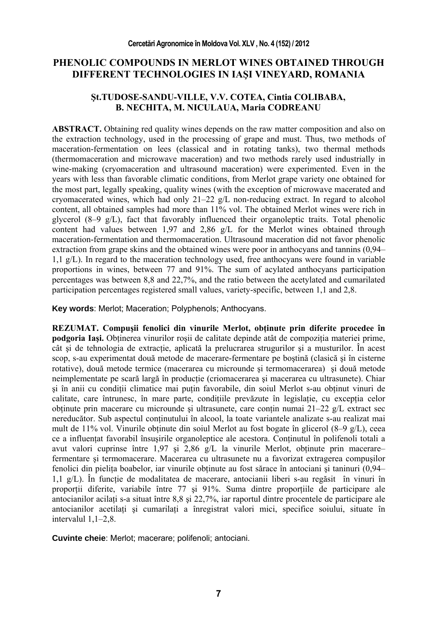## **PHENOLIC COMPOUNDS IN MERLOT WINES OBTAINED THROUGH DIFFERENT TECHNOLOGIES IN IAŞI VINEYARD, ROMANIA**

### **Şt.TUDOSE-SANDU-VILLE, V.V. COTEA, Cintia COLIBABA, B. NECHITA, M. NICULAUA, Maria CODREANU**

**ABSTRACT.** Obtaining red quality wines depends on the raw matter composition and also on the extraction technology, used in the processing of grape and must. Thus, two methods of maceration-fermentation on lees (classical and in rotating tanks), two thermal methods (thermomaceration and microwave maceration) and two methods rarely used industrially in wine-making (cryomaceration and ultrasound maceration) were experimented. Even in the years with less than favorable climatic conditions, from Merlot grape variety one obtained for the most part, legally speaking, quality wines (with the exception of microwave macerated and cryomacerated wines, which had only  $21-22$  g/L non-reducing extract. In regard to alcohol content, all obtained samples had more than 11% vol. The obtained Merlot wines were rich in glycerol (8–9 g/L), fact that favorably influenced their organoleptic traits. Total phenolic content had values between 1,97 and 2,86 g/L for the Merlot wines obtained through maceration-fermentation and thermomaceration. Ultrasound maceration did not favor phenolic extraction from grape skins and the obtained wines were poor in anthocyans and tannins (0,94– 1,1 g/L). In regard to the maceration technology used, free anthocyans were found in variable proportions in wines, between 77 and 91%. The sum of acylated anthocyans participation percentages was between 8,8 and 22,7%, and the ratio between the acetylated and cumarilated participation percentages registered small values, variety-specific, between 1,1 and 2,8.

**Key words**: Merlot; Maceration; Polyphenols; Anthocyans.

**REZUMAT. Compuşii fenolici din vinurile Merlot, obţinute prin diferite procedee în podgoria Iași.** Obținerea vinurilor roșii de calitate depinde atât de compoziția materiei prime, cât şi de tehnologia de extracţie, aplicată la prelucrarea strugurilor şi a musturilor. În acest scop, s-au experimentat două metode de macerare-fermentare pe boştină (clasică şi în cisterne rotative), două metode termice (macerarea cu microunde şi termomacerarea) şi două metode neimplementate pe scară largă în productie (criomacerarea și macerarea cu ultrasunete). Chiar şi în anii cu condiţii climatice mai puţin favorabile, din soiul Merlot s-au obţinut vinuri de calitate, care întrunesc, în mare parte, condițiile prevăzute în legislație, cu excepția celor obtinute prin macerare cu microunde și ultrasunete, care conțin numai  $21-22$  g/L extract sec nereducător. Sub aspectul continutului în alcool, la toate variantele analizate s-au realizat mai mult de 11% vol. Vinurile obținute din soiul Merlot au fost bogate în glicerol  $(8-9 \text{ g/L})$ , ceea ce a influențat favorabil însușirile organoleptice ale acestora. Conținutul în polifenoli totali a avut valori cuprinse între 1,97 și 2,86  $g/L$  la vinurile Merlot, obtinute prin macerare– fermentare şi termomacerare. Macerarea cu ultrasunete nu a favorizat extragerea compuşilor fenolici din pielita boabelor, iar vinurile obtinute au fost sărace în antociani și taninuri (0,94– 1,1 g/L). În functie de modalitatea de macerare, antocianii liberi s-au regăsit în vinuri în proporţii diferite, variabile între 77 şi 91%. Suma dintre proporţiile de participare ale antocianilor acilaţi s-a situat între 8,8 şi 22,7%, iar raportul dintre procentele de participare ale antocianilor acetilaţi şi cumarilaţi a înregistrat valori mici, specifice soiului, situate în intervalul 1,1–2,8.

**Cuvinte cheie**: Merlot; macerare; polifenoli; antociani.